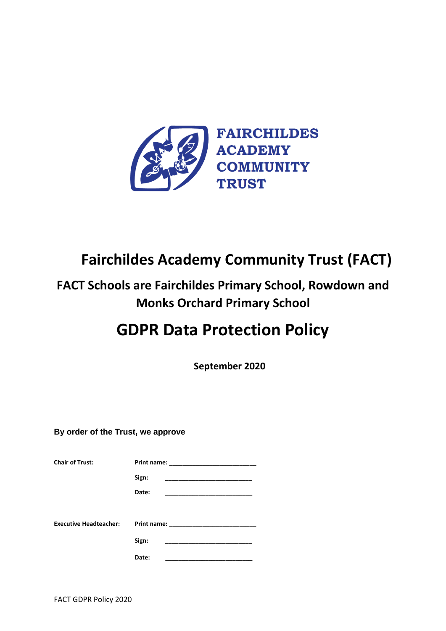

## **Fairchildes Academy Community Trust (FACT)**

## **FACT Schools are Fairchildes Primary School, Rowdown and Monks Orchard Primary School**

# **GDPR Data Protection Policy**

**September 2020**

**By order of the Trust, we approve** 

| <b>Chair of Trust:</b>        |                                                                                                                                |
|-------------------------------|--------------------------------------------------------------------------------------------------------------------------------|
|                               | Sign:                                                                                                                          |
|                               | Date:<br><u> 1980 - Johann John Stone, mars eta bat eta bat eta bat eta bat eta bat eta bat eta bat eta bat eta bat eta b</u>  |
|                               |                                                                                                                                |
| <b>Executive Headteacher:</b> | Print name: <u>_______________</u>                                                                                             |
|                               | Sign:                                                                                                                          |
|                               | Date:<br><u> 1989 - Johann John Stone, markin amerikan bisa dalam pembangan dan bisa pertama dan bisa dalam pertama dan bi</u> |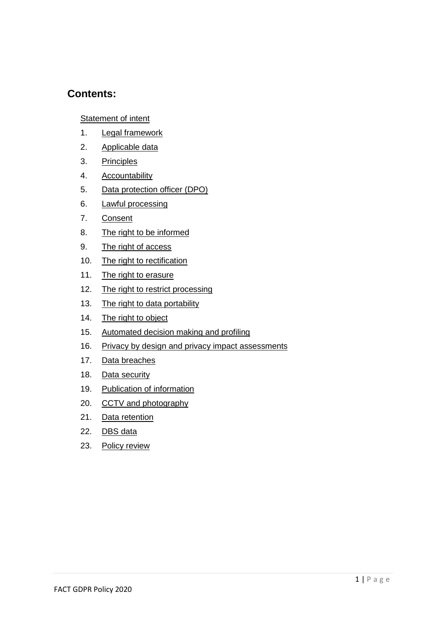### **Contents:**

#### **[Statement of intent](#page-2-0)**

- 1. Legal framework
- 2. [Applicable data](#page-3-0)
- 3. [Principles](#page-4-0)
- 4. [Accountability](#page-4-1)
- 5. [Data protection officer \(DPO\)](#page-5-0)
- 6. [Lawful processing](#page-6-0)
- 7. [Consent](#page-7-0)
- 8. The right [to be informed](#page-7-1)
- 9. [The right of access](#page-8-0)
- 10. [The right to rectification](#page-9-0)
- 11. [The right to erasure](#page-9-1)
- 12. [The right to restrict processing](#page-10-0)
- 13. [The right to data portability](#page-11-0)
- 14. [The right to object](#page-12-0)
- 15. [Automated decision making and profiling](#page-13-0)
- 16. [Privacy by design and privacy impact assessments](#page-13-1)
- 17. [Data breaches](#page-14-0)
- 18. [Data security](#page-15-0)
- 19. [Publication of information](#page-16-0)
- 20. [CCTV and photography](#page-17-0)
- 21. [Data retention](#page-17-1)
- 22. [DBS data](#page-17-2)
- 23. Policy review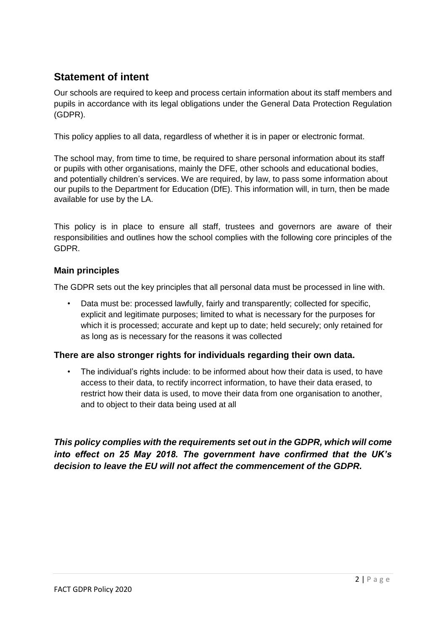### <span id="page-2-0"></span>**Statement of intent**

Our schools are required to keep and process certain information about its staff members and pupils in accordance with its legal obligations under the General Data Protection Regulation (GDPR).

This policy applies to all data, regardless of whether it is in paper or electronic format.

The school may, from time to time, be required to share personal information about its staff or pupils with other organisations, mainly the DFE, other schools and educational bodies, and potentially children's services. We are required, by law, to pass some information about our pupils to the Department for Education (DfE). This information will, in turn, then be made available for use by the LA.

This policy is in place to ensure all staff, trustees and governors are aware of their responsibilities and outlines how the school complies with the following core principles of the GDPR.

#### **Main principles**

The GDPR sets out the key principles that all personal data must be processed in line with.

• Data must be: processed lawfully, fairly and transparently; collected for specific, explicit and legitimate purposes; limited to what is necessary for the purposes for which it is processed; accurate and kept up to date; held securely; only retained for as long as is necessary for the reasons it was collected

#### **There are also stronger rights for individuals regarding their own data.**

• The individual's rights include: to be informed about how their data is used, to have access to their data, to rectify incorrect information, to have their data erased, to restrict how their data is used, to move their data from one organisation to another, and to object to their data being used at all

*This policy complies with the requirements set out in the GDPR, which will come into effect on 25 May 2018. The government have confirmed that the UK's decision to leave the EU will not affect the commencement of the GDPR.*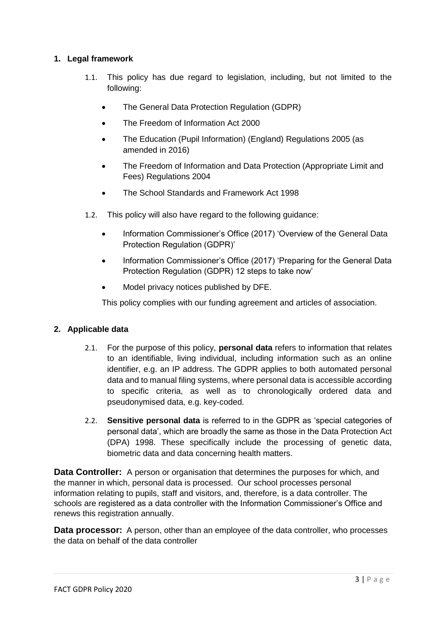#### **1. Legal framework**

- 1.1. This policy has due regard to legislation, including, but not limited to the following:
	- The General Data Protection Regulation (GDPR)
	- The Freedom of Information Act 2000
	- The Education (Pupil Information) (England) Regulations 2005 (as amended in 2016)
	- The Freedom of Information and Data Protection (Appropriate Limit and Fees) Regulations 2004
	- The School Standards and Framework Act 1998
- 1.2. This policy will also have regard to the following guidance:
	- Information Commissioner's Office (2017) 'Overview of the General Data Protection Regulation (GDPR)'
	- Information Commissioner's Office (2017) 'Preparing for the General Data Protection Regulation (GDPR) 12 steps to take now'
	- Model privacy notices published by DFE.

This policy complies with our funding agreement and articles of association.

#### <span id="page-3-0"></span>**2. Applicable data**

- 2.1. For the purpose of this policy, **personal data** refers to information that relates to an identifiable, living individual, including information such as an online identifier, e.g. an IP address. The GDPR applies to both automated personal data and to manual filing systems, where personal data is accessible according to specific criteria, as well as to chronologically ordered data and pseudonymised data, e.g. key-coded.
- 2.2. **Sensitive personal data** is referred to in the GDPR as 'special categories of personal data', which are broadly the same as those in the Data Protection Act (DPA) 1998. These specifically include the processing of genetic data, biometric data and data concerning health matters.

**Data Controller:** A person or organisation that determines the purposes for which, and the manner in which, personal data is processed. Our school processes personal information relating to pupils, staff and visitors, and, therefore, is a data controller. The schools are registered as a data controller with the Information Commissioner's Office and renews this registration annually.

**Data processor:** A person, other than an employee of the data controller, who processes the data on behalf of the data controller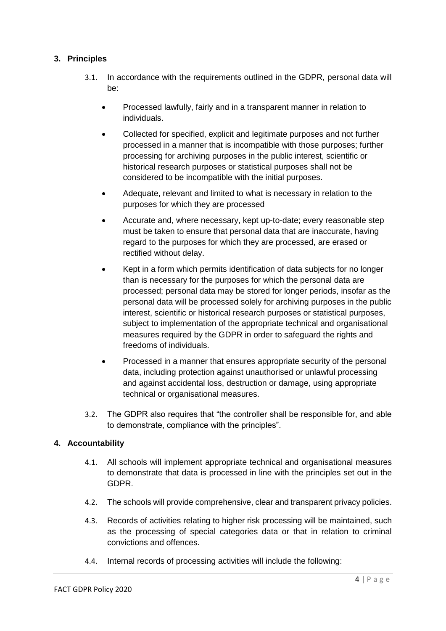#### <span id="page-4-0"></span>**3. Principles**

- 3.1. In accordance with the requirements outlined in the GDPR, personal data will be:
	- Processed lawfully, fairly and in a transparent manner in relation to individuals.
	- Collected for specified, explicit and legitimate purposes and not further processed in a manner that is incompatible with those purposes; further processing for archiving purposes in the public interest, scientific or historical research purposes or statistical purposes shall not be considered to be incompatible with the initial purposes.
	- Adequate, relevant and limited to what is necessary in relation to the purposes for which they are processed
	- Accurate and, where necessary, kept up-to-date; every reasonable step must be taken to ensure that personal data that are inaccurate, having regard to the purposes for which they are processed, are erased or rectified without delay.
	- Kept in a form which permits identification of data subjects for no longer than is necessary for the purposes for which the personal data are processed; personal data may be stored for longer periods, insofar as the personal data will be processed solely for archiving purposes in the public interest, scientific or historical research purposes or statistical purposes, subject to implementation of the appropriate technical and organisational measures required by the GDPR in order to safeguard the rights and freedoms of individuals.
	- Processed in a manner that ensures appropriate security of the personal data, including protection against unauthorised or unlawful processing and against accidental loss, destruction or damage, using appropriate technical or organisational measures.
- 3.2. The GDPR also requires that "the controller shall be responsible for, and able to demonstrate, compliance with the principles".

#### <span id="page-4-1"></span>**4. Accountability**

- 4.1. All schools will implement appropriate technical and organisational measures to demonstrate that data is processed in line with the principles set out in the GDPR.
- 4.2. The schools will provide comprehensive, clear and transparent privacy policies.
- 4.3. Records of activities relating to higher risk processing will be maintained, such as the processing of special categories data or that in relation to criminal convictions and offences.
- 4.4. Internal records of processing activities will include the following: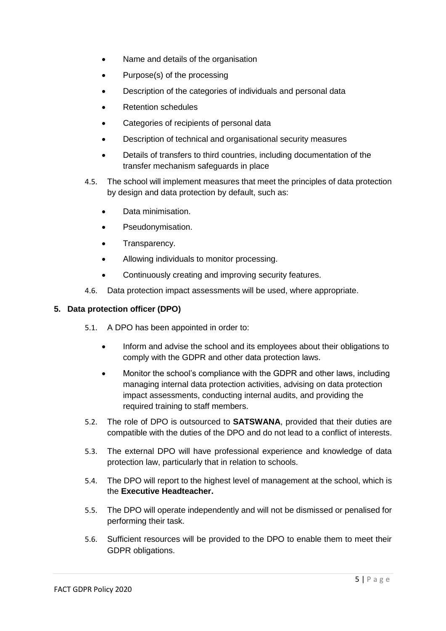- Name and details of the organisation
- Purpose(s) of the processing
- Description of the categories of individuals and personal data
- Retention schedules
- Categories of recipients of personal data
- Description of technical and organisational security measures
- Details of transfers to third countries, including documentation of the transfer mechanism safeguards in place
- 4.5. The school will implement measures that meet the principles of data protection by design and data protection by default, such as:
	- Data minimisation.
	- Pseudonymisation.
	- Transparency.
	- Allowing individuals to monitor processing.
	- Continuously creating and improving security features.
- 4.6. Data protection impact assessments will be used, where appropriate.

#### <span id="page-5-0"></span>**5. Data protection officer (DPO)**

- 5.1. A DPO has been appointed in order to:
	- Inform and advise the school and its employees about their obligations to comply with the GDPR and other data protection laws.
	- Monitor the school's compliance with the GDPR and other laws, including managing internal data protection activities, advising on data protection impact assessments, conducting internal audits, and providing the required training to staff members.
- 5.2. The role of DPO is outsourced to **SATSWANA**, provided that their duties are compatible with the duties of the DPO and do not lead to a conflict of interests.
- 5.3. The external DPO will have professional experience and knowledge of data protection law, particularly that in relation to schools.
- 5.4. The DPO will report to the highest level of management at the school, which is the **Executive Headteacher.**
- 5.5. The DPO will operate independently and will not be dismissed or penalised for performing their task.
- 5.6. Sufficient resources will be provided to the DPO to enable them to meet their GDPR obligations.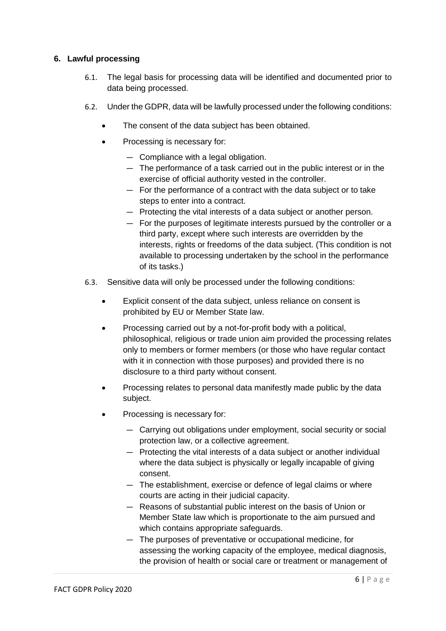#### <span id="page-6-0"></span>**6. Lawful processing**

- 6.1. The legal basis for processing data will be identified and documented prior to data being processed.
- 6.2. Under the GDPR, data will be lawfully processed under the following conditions:
	- The consent of the data subject has been obtained.
	- Processing is necessary for:
		- Compliance with a legal obligation.
		- The performance of a task carried out in the public interest or in the exercise of official authority vested in the controller.
		- For the performance of a contract with the data subject or to take steps to enter into a contract.
		- Protecting the vital interests of a data subject or another person.
		- For the purposes of legitimate interests pursued by the controller or a third party, except where such interests are overridden by the interests, rights or freedoms of the data subject. (This condition is not available to processing undertaken by the school in the performance of its tasks.)
- 6.3. Sensitive data will only be processed under the following conditions:
	- Explicit consent of the data subject, unless reliance on consent is prohibited by EU or Member State law.
	- Processing carried out by a not-for-profit body with a political, philosophical, religious or trade union aim provided the processing relates only to members or former members (or those who have regular contact with it in connection with those purposes) and provided there is no disclosure to a third party without consent.
	- Processing relates to personal data manifestly made public by the data subject.
	- Processing is necessary for:
		- Carrying out obligations under employment, social security or social protection law, or a collective agreement.
		- Protecting the vital interests of a data subject or another individual where the data subject is physically or legally incapable of giving consent.
		- The establishment, exercise or defence of legal claims or where courts are acting in their judicial capacity.
		- Reasons of substantial public interest on the basis of Union or Member State law which is proportionate to the aim pursued and which contains appropriate safeguards.
		- The purposes of preventative or occupational medicine, for assessing the working capacity of the employee, medical diagnosis, the provision of health or social care or treatment or management of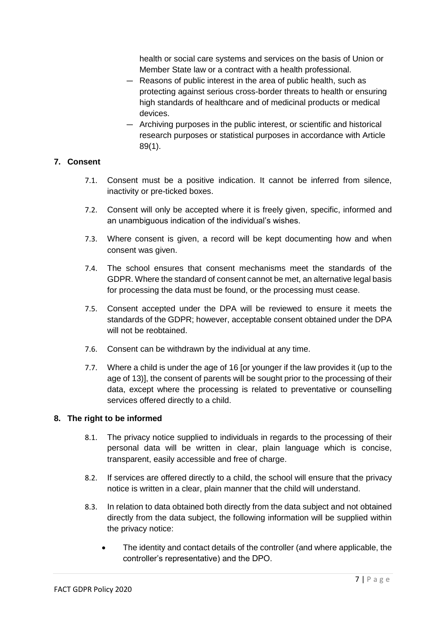health or social care systems and services on the basis of Union or Member State law or a contract with a health professional.

- Reasons of public interest in the area of public health, such as protecting against serious cross-border threats to health or ensuring high standards of healthcare and of medicinal products or medical devices.
- Archiving purposes in the public interest, or scientific and historical research purposes or statistical purposes in accordance with Article 89(1).

#### <span id="page-7-0"></span>**7. Consent**

- 7.1. Consent must be a positive indication. It cannot be inferred from silence, inactivity or pre-ticked boxes.
- 7.2. Consent will only be accepted where it is freely given, specific, informed and an unambiguous indication of the individual's wishes.
- 7.3. Where consent is given, a record will be kept documenting how and when consent was given.
- 7.4. The school ensures that consent mechanisms meet the standards of the GDPR. Where the standard of consent cannot be met, an alternative legal basis for processing the data must be found, or the processing must cease.
- 7.5. Consent accepted under the DPA will be reviewed to ensure it meets the standards of the GDPR; however, acceptable consent obtained under the DPA will not be reobtained.
- 7.6. Consent can be withdrawn by the individual at any time.
- 7.7. Where a child is under the age of 16 [or younger if the law provides it (up to the age of 13)], the consent of parents will be sought prior to the processing of their data, except where the processing is related to preventative or counselling services offered directly to a child.

#### <span id="page-7-1"></span>**8. The right to be informed**

- 8.1. The privacy notice supplied to individuals in regards to the processing of their personal data will be written in clear, plain language which is concise, transparent, easily accessible and free of charge.
- 8.2. If services are offered directly to a child, the school will ensure that the privacy notice is written in a clear, plain manner that the child will understand.
- 8.3. In relation to data obtained both directly from the data subject and not obtained directly from the data subject, the following information will be supplied within the privacy notice:
	- The identity and contact details of the controller (and where applicable, the controller's representative) and the DPO.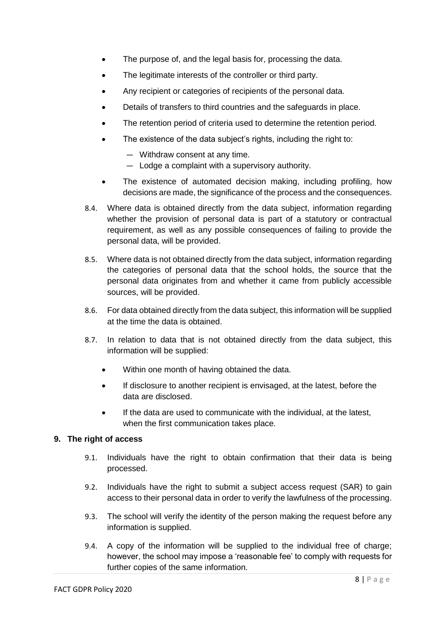- The purpose of, and the legal basis for, processing the data.
- The legitimate interests of the controller or third party.
- Any recipient or categories of recipients of the personal data.
- Details of transfers to third countries and the safeguards in place.
- The retention period of criteria used to determine the retention period.
- The existence of the data subject's rights, including the right to:
	- Withdraw consent at any time.
	- Lodge a complaint with a supervisory authority.
- The existence of automated decision making, including profiling, how decisions are made, the significance of the process and the consequences.
- 8.4. Where data is obtained directly from the data subject, information regarding whether the provision of personal data is part of a statutory or contractual requirement, as well as any possible consequences of failing to provide the personal data, will be provided.
- 8.5. Where data is not obtained directly from the data subject, information regarding the categories of personal data that the school holds, the source that the personal data originates from and whether it came from publicly accessible sources, will be provided.
- 8.6. For data obtained directly from the data subject, this information will be supplied at the time the data is obtained.
- 8.7. In relation to data that is not obtained directly from the data subject, this information will be supplied:
	- Within one month of having obtained the data.
	- If disclosure to another recipient is envisaged, at the latest, before the data are disclosed.
	- If the data are used to communicate with the individual, at the latest, when the first communication takes place.

#### <span id="page-8-0"></span>**9. The right of access**

- 9.1. Individuals have the right to obtain confirmation that their data is being processed.
- 9.2. Individuals have the right to submit a subject access request (SAR) to gain access to their personal data in order to verify the lawfulness of the processing.
- 9.3. The school will verify the identity of the person making the request before any information is supplied.
- 9.4. A copy of the information will be supplied to the individual free of charge; however, the school may impose a 'reasonable fee' to comply with requests for further copies of the same information.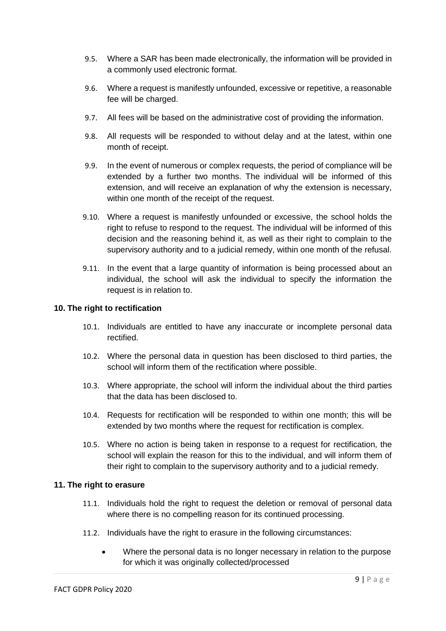- 9.5. Where a SAR has been made electronically, the information will be provided in a commonly used electronic format.
- 9.6. Where a request is manifestly unfounded, excessive or repetitive, a reasonable fee will be charged.
- 9.7. All fees will be based on the administrative cost of providing the information.
- 9.8. All requests will be responded to without delay and at the latest, within one month of receipt.
- 9.9. In the event of numerous or complex requests, the period of compliance will be extended by a further two months. The individual will be informed of this extension, and will receive an explanation of why the extension is necessary, within one month of the receipt of the request.
- 9.10. Where a request is manifestly unfounded or excessive, the school holds the right to refuse to respond to the request. The individual will be informed of this decision and the reasoning behind it, as well as their right to complain to the supervisory authority and to a judicial remedy, within one month of the refusal.
- 9.11. In the event that a large quantity of information is being processed about an individual, the school will ask the individual to specify the information the request is in relation to.

#### <span id="page-9-0"></span>**10. The right to rectification**

- 10.1. Individuals are entitled to have any inaccurate or incomplete personal data rectified.
- 10.2. Where the personal data in question has been disclosed to third parties, the school will inform them of the rectification where possible.
- 10.3. Where appropriate, the school will inform the individual about the third parties that the data has been disclosed to.
- 10.4. Requests for rectification will be responded to within one month; this will be extended by two months where the request for rectification is complex.
- 10.5. Where no action is being taken in response to a request for rectification, the school will explain the reason for this to the individual, and will inform them of their right to complain to the supervisory authority and to a judicial remedy.

#### <span id="page-9-1"></span>**11. The right to erasure**

- 11.1. Individuals hold the right to request the deletion or removal of personal data where there is no compelling reason for its continued processing.
- 11.2. Individuals have the right to erasure in the following circumstances:
	- Where the personal data is no longer necessary in relation to the purpose for which it was originally collected/processed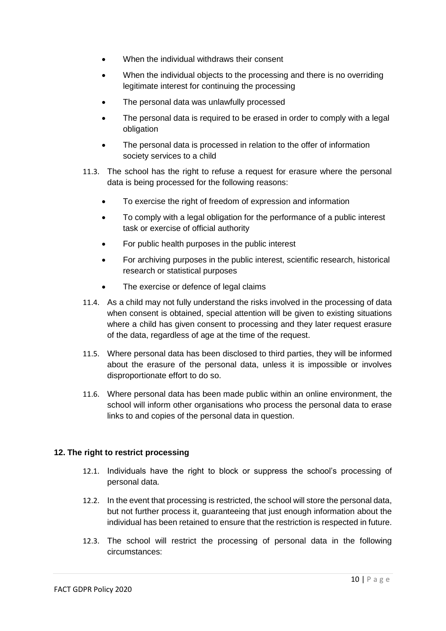- When the individual withdraws their consent
- When the individual objects to the processing and there is no overriding legitimate interest for continuing the processing
- The personal data was unlawfully processed
- The personal data is required to be erased in order to comply with a legal obligation
- The personal data is processed in relation to the offer of information society services to a child
- 11.3. The school has the right to refuse a request for erasure where the personal data is being processed for the following reasons:
	- To exercise the right of freedom of expression and information
	- To comply with a legal obligation for the performance of a public interest task or exercise of official authority
	- For public health purposes in the public interest
	- For archiving purposes in the public interest, scientific research, historical research or statistical purposes
	- The exercise or defence of legal claims
- 11.4. As a child may not fully understand the risks involved in the processing of data when consent is obtained, special attention will be given to existing situations where a child has given consent to processing and they later request erasure of the data, regardless of age at the time of the request.
- 11.5. Where personal data has been disclosed to third parties, they will be informed about the erasure of the personal data, unless it is impossible or involves disproportionate effort to do so.
- 11.6. Where personal data has been made public within an online environment, the school will inform other organisations who process the personal data to erase links to and copies of the personal data in question.

#### <span id="page-10-0"></span>**12. The right to restrict processing**

- 12.1. Individuals have the right to block or suppress the school's processing of personal data.
- 12.2. In the event that processing is restricted, the school will store the personal data, but not further process it, guaranteeing that just enough information about the individual has been retained to ensure that the restriction is respected in future.
- 12.3. The school will restrict the processing of personal data in the following circumstances: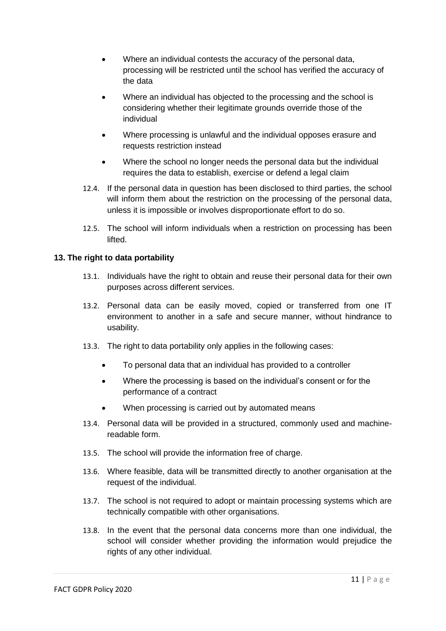- Where an individual contests the accuracy of the personal data, processing will be restricted until the school has verified the accuracy of the data
- Where an individual has objected to the processing and the school is considering whether their legitimate grounds override those of the individual
- Where processing is unlawful and the individual opposes erasure and requests restriction instead
- Where the school no longer needs the personal data but the individual requires the data to establish, exercise or defend a legal claim
- 12.4. If the personal data in question has been disclosed to third parties, the school will inform them about the restriction on the processing of the personal data, unless it is impossible or involves disproportionate effort to do so.
- 12.5. The school will inform individuals when a restriction on processing has been lifted.

#### <span id="page-11-0"></span>**13. The right to data portability**

- 13.1. Individuals have the right to obtain and reuse their personal data for their own purposes across different services.
- 13.2. Personal data can be easily moved, copied or transferred from one IT environment to another in a safe and secure manner, without hindrance to usability.
- 13.3. The right to data portability only applies in the following cases:
	- To personal data that an individual has provided to a controller
	- Where the processing is based on the individual's consent or for the performance of a contract
	- When processing is carried out by automated means
- 13.4. Personal data will be provided in a structured, commonly used and machinereadable form.
- 13.5. The school will provide the information free of charge.
- 13.6. Where feasible, data will be transmitted directly to another organisation at the request of the individual.
- 13.7. The school is not required to adopt or maintain processing systems which are technically compatible with other organisations.
- 13.8. In the event that the personal data concerns more than one individual, the school will consider whether providing the information would prejudice the rights of any other individual.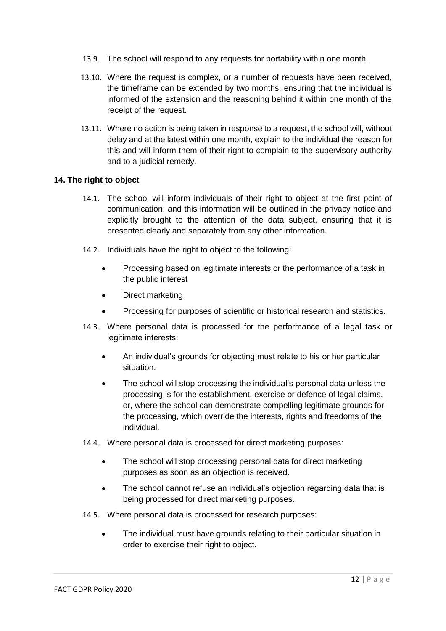- 13.9. The school will respond to any requests for portability within one month.
- 13.10. Where the request is complex, or a number of requests have been received, the timeframe can be extended by two months, ensuring that the individual is informed of the extension and the reasoning behind it within one month of the receipt of the request.
- 13.11. Where no action is being taken in response to a request, the school will, without delay and at the latest within one month, explain to the individual the reason for this and will inform them of their right to complain to the supervisory authority and to a judicial remedy.

#### <span id="page-12-0"></span>**14. The right to object**

- 14.1. The school will inform individuals of their right to object at the first point of communication, and this information will be outlined in the privacy notice and explicitly brought to the attention of the data subject, ensuring that it is presented clearly and separately from any other information.
- 14.2. Individuals have the right to object to the following:
	- Processing based on legitimate interests or the performance of a task in the public interest
	- Direct marketing
	- Processing for purposes of scientific or historical research and statistics.
- 14.3. Where personal data is processed for the performance of a legal task or legitimate interests:
	- An individual's grounds for objecting must relate to his or her particular situation.
	- The school will stop processing the individual's personal data unless the processing is for the establishment, exercise or defence of legal claims, or, where the school can demonstrate compelling legitimate grounds for the processing, which override the interests, rights and freedoms of the individual.
- 14.4. Where personal data is processed for direct marketing purposes:
	- The school will stop processing personal data for direct marketing purposes as soon as an objection is received.
	- The school cannot refuse an individual's objection regarding data that is being processed for direct marketing purposes.
- 14.5. Where personal data is processed for research purposes:
	- The individual must have grounds relating to their particular situation in order to exercise their right to object.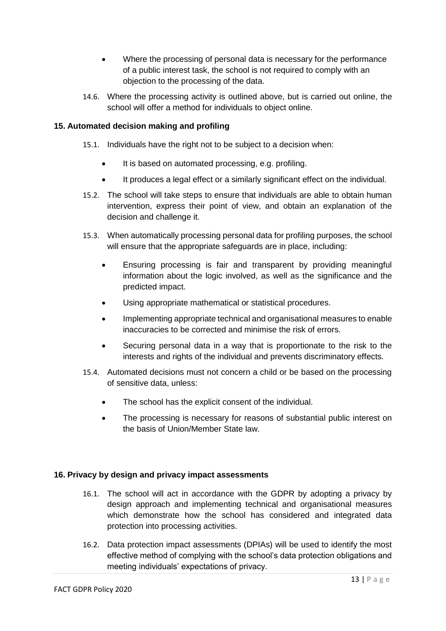- Where the processing of personal data is necessary for the performance of a public interest task, the school is not required to comply with an objection to the processing of the data.
- 14.6. Where the processing activity is outlined above, but is carried out online, the school will offer a method for individuals to object online.

#### <span id="page-13-0"></span>**15. Automated decision making and profiling**

- 15.1. Individuals have the right not to be subject to a decision when:
	- It is based on automated processing, e.g. profiling.
	- It produces a legal effect or a similarly significant effect on the individual.
- 15.2. The school will take steps to ensure that individuals are able to obtain human intervention, express their point of view, and obtain an explanation of the decision and challenge it.
- 15.3. When automatically processing personal data for profiling purposes, the school will ensure that the appropriate safeguards are in place, including:
	- Ensuring processing is fair and transparent by providing meaningful information about the logic involved, as well as the significance and the predicted impact.
	- Using appropriate mathematical or statistical procedures.
	- Implementing appropriate technical and organisational measures to enable inaccuracies to be corrected and minimise the risk of errors.
	- Securing personal data in a way that is proportionate to the risk to the interests and rights of the individual and prevents discriminatory effects.
- 15.4. Automated decisions must not concern a child or be based on the processing of sensitive data, unless:
	- The school has the explicit consent of the individual.
	- The processing is necessary for reasons of substantial public interest on the basis of Union/Member State law.

#### <span id="page-13-1"></span>**16. Privacy by design and privacy impact assessments**

- 16.1. The school will act in accordance with the GDPR by adopting a privacy by design approach and implementing technical and organisational measures which demonstrate how the school has considered and integrated data protection into processing activities.
- 16.2. Data protection impact assessments (DPIAs) will be used to identify the most effective method of complying with the school's data protection obligations and meeting individuals' expectations of privacy.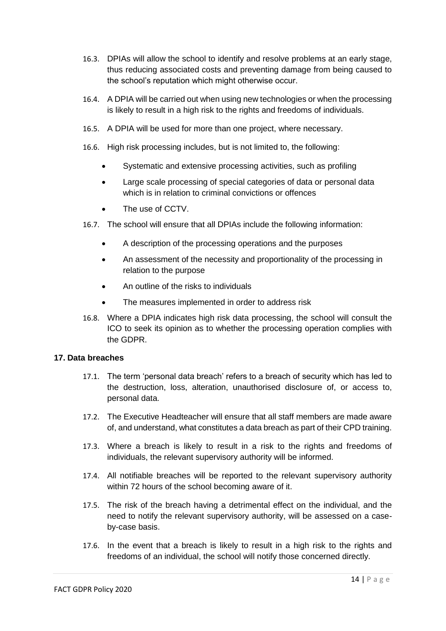- 16.3. DPIAs will allow the school to identify and resolve problems at an early stage, thus reducing associated costs and preventing damage from being caused to the school's reputation which might otherwise occur.
- 16.4. A DPIA will be carried out when using new technologies or when the processing is likely to result in a high risk to the rights and freedoms of individuals.
- 16.5. A DPIA will be used for more than one project, where necessary.
- 16.6. High risk processing includes, but is not limited to, the following:
	- Systematic and extensive processing activities, such as profiling
	- Large scale processing of special categories of data or personal data which is in relation to criminal convictions or offences
	- The use of CCTV.
- 16.7. The school will ensure that all DPIAs include the following information:
	- A description of the processing operations and the purposes
	- An assessment of the necessity and proportionality of the processing in relation to the purpose
	- An outline of the risks to individuals
	- The measures implemented in order to address risk
- 16.8. Where a DPIA indicates high risk data processing, the school will consult the ICO to seek its opinion as to whether the processing operation complies with the GDPR.

#### <span id="page-14-0"></span>**17. Data breaches**

- 17.1. The term 'personal data breach' refers to a breach of security which has led to the destruction, loss, alteration, unauthorised disclosure of, or access to, personal data.
- 17.2. The Executive Headteacher will ensure that all staff members are made aware of, and understand, what constitutes a data breach as part of their CPD training.
- 17.3. Where a breach is likely to result in a risk to the rights and freedoms of individuals, the relevant supervisory authority will be informed.
- 17.4. All notifiable breaches will be reported to the relevant supervisory authority within 72 hours of the school becoming aware of it.
- 17.5. The risk of the breach having a detrimental effect on the individual, and the need to notify the relevant supervisory authority, will be assessed on a caseby-case basis.
- 17.6. In the event that a breach is likely to result in a high risk to the rights and freedoms of an individual, the school will notify those concerned directly.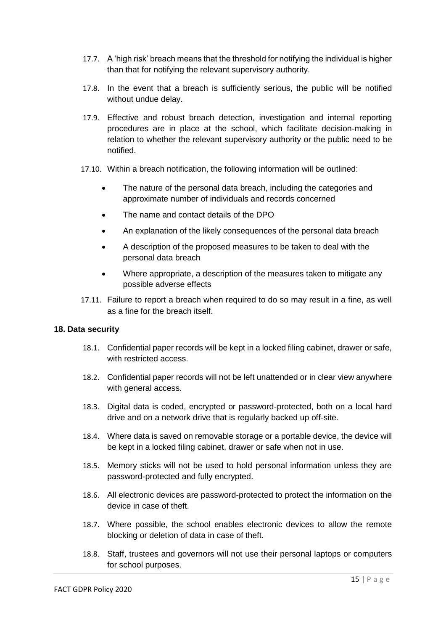- 17.7. A 'high risk' breach means that the threshold for notifying the individual is higher than that for notifying the relevant supervisory authority.
- 17.8. In the event that a breach is sufficiently serious, the public will be notified without undue delay.
- 17.9. Effective and robust breach detection, investigation and internal reporting procedures are in place at the school, which facilitate decision-making in relation to whether the relevant supervisory authority or the public need to be notified.
- 17.10. Within a breach notification, the following information will be outlined:
	- The nature of the personal data breach, including the categories and approximate number of individuals and records concerned
	- The name and contact details of the DPO
	- An explanation of the likely consequences of the personal data breach
	- A description of the proposed measures to be taken to deal with the personal data breach
	- Where appropriate, a description of the measures taken to mitigate any possible adverse effects
- 17.11. Failure to report a breach when required to do so may result in a fine, as well as a fine for the breach itself.

#### <span id="page-15-0"></span>**18. Data security**

- 18.1. Confidential paper records will be kept in a locked filing cabinet, drawer or safe, with restricted access.
- 18.2. Confidential paper records will not be left unattended or in clear view anywhere with general access.
- 18.3. Digital data is coded, encrypted or password-protected, both on a local hard drive and on a network drive that is regularly backed up off-site.
- 18.4. Where data is saved on removable storage or a portable device, the device will be kept in a locked filing cabinet, drawer or safe when not in use.
- 18.5. Memory sticks will not be used to hold personal information unless they are password-protected and fully encrypted.
- 18.6. All electronic devices are password-protected to protect the information on the device in case of theft.
- 18.7. Where possible, the school enables electronic devices to allow the remote blocking or deletion of data in case of theft.
- 18.8. Staff, trustees and governors will not use their personal laptops or computers for school purposes.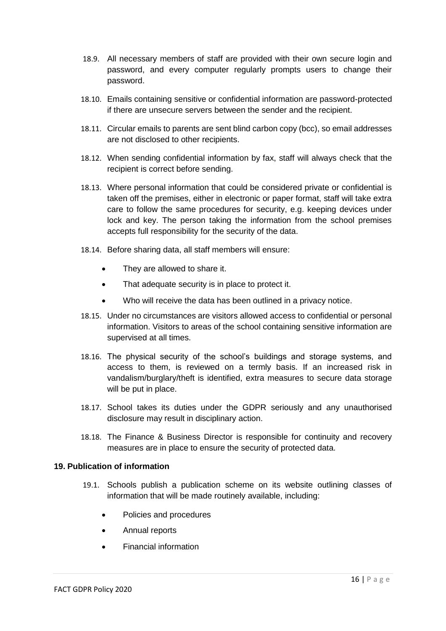- 18.9. All necessary members of staff are provided with their own secure login and password, and every computer regularly prompts users to change their password.
- 18.10. Emails containing sensitive or confidential information are password-protected if there are unsecure servers between the sender and the recipient.
- 18.11. Circular emails to parents are sent blind carbon copy (bcc), so email addresses are not disclosed to other recipients.
- 18.12. When sending confidential information by fax, staff will always check that the recipient is correct before sending.
- 18.13. Where personal information that could be considered private or confidential is taken off the premises, either in electronic or paper format, staff will take extra care to follow the same procedures for security, e.g. keeping devices under lock and key. The person taking the information from the school premises accepts full responsibility for the security of the data.
- 18.14. Before sharing data, all staff members will ensure:
	- They are allowed to share it.
	- That adequate security is in place to protect it.
	- Who will receive the data has been outlined in a privacy notice.
- 18.15. Under no circumstances are visitors allowed access to confidential or personal information. Visitors to areas of the school containing sensitive information are supervised at all times.
- 18.16. The physical security of the school's buildings and storage systems, and access to them, is reviewed on a termly basis. If an increased risk in vandalism/burglary/theft is identified, extra measures to secure data storage will be put in place.
- 18.17. School takes its duties under the GDPR seriously and any unauthorised disclosure may result in disciplinary action.
- 18.18. The Finance & Business Director is responsible for continuity and recovery measures are in place to ensure the security of protected data.

#### <span id="page-16-0"></span>**19. Publication of information**

- 19.1. Schools publish a publication scheme on its website outlining classes of information that will be made routinely available, including:
	- Policies and procedures
	- Annual reports
	- Financial information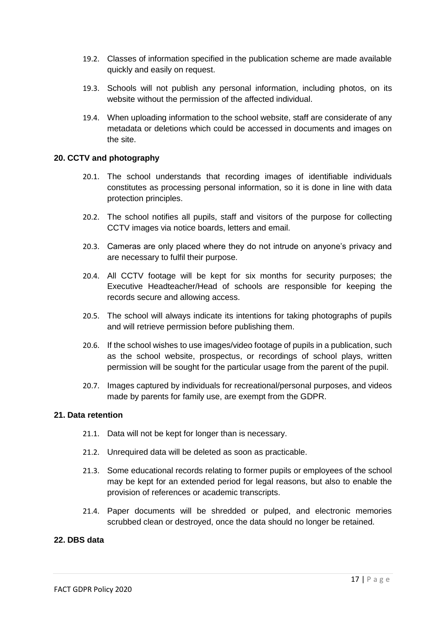- 19.2. Classes of information specified in the publication scheme are made available quickly and easily on request.
- 19.3. Schools will not publish any personal information, including photos, on its website without the permission of the affected individual.
- 19.4. When uploading information to the school website, staff are considerate of any metadata or deletions which could be accessed in documents and images on the site.

#### <span id="page-17-0"></span>**20. CCTV and photography**

- 20.1. The school understands that recording images of identifiable individuals constitutes as processing personal information, so it is done in line with data protection principles.
- 20.2. The school notifies all pupils, staff and visitors of the purpose for collecting CCTV images via notice boards, letters and email.
- 20.3. Cameras are only placed where they do not intrude on anyone's privacy and are necessary to fulfil their purpose.
- 20.4. All CCTV footage will be kept for six months for security purposes; the Executive Headteacher/Head of schools are responsible for keeping the records secure and allowing access.
- 20.5. The school will always indicate its intentions for taking photographs of pupils and will retrieve permission before publishing them.
- 20.6. If the school wishes to use images/video footage of pupils in a publication, such as the school website, prospectus, or recordings of school plays, written permission will be sought for the particular usage from the parent of the pupil.
- 20.7. Images captured by individuals for recreational/personal purposes, and videos made by parents for family use, are exempt from the GDPR.

#### <span id="page-17-1"></span>**21. Data retention**

- 21.1. Data will not be kept for longer than is necessary.
- 21.2. Unrequired data will be deleted as soon as practicable.
- 21.3. Some educational records relating to former pupils or employees of the school may be kept for an extended period for legal reasons, but also to enable the provision of references or academic transcripts.
- 21.4. Paper documents will be shredded or pulped, and electronic memories scrubbed clean or destroyed, once the data should no longer be retained.

#### <span id="page-17-2"></span>**22. DBS data**